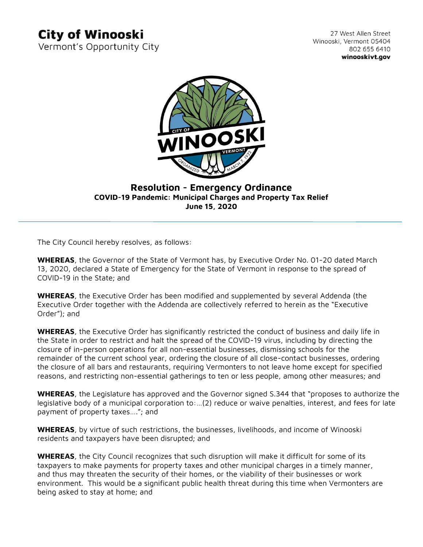## **City of Winooski**

Vermont's Opportunity City

27 West Allen Street Winooski, Vermont 05404 802 655 6410 winooskivt.gov



### **Resolution - Emergency Ordinance COVID-19 Pandemic: Municipal Charges and Property Tax Relief June 15, 2020**

The City Council hereby resolves, as follows:

**WHEREAS**, the Governor of the State of Vermont has, by Executive Order No. 01-20 dated March 13, 2020, declared a State of Emergency for the State of Vermont in response to the spread of COVID-19 in the State; and

**WHEREAS**, the Executive Order has been modified and supplemented by several Addenda (the Executive Order together with the Addenda are collectively referred to herein as the "Executive Order"); and

**WHEREAS**, the Executive Order has significantly restricted the conduct of business and daily life in the State in order to restrict and halt the spread of the COVID-19 virus, including by directing the closure of in-person operations for all non-essential businesses, dismissing schools for the remainder of the current school year, ordering the closure of all close-contact businesses, ordering the closure of all bars and restaurants, requiring Vermonters to not leave home except for specified reasons, and restricting non-essential gatherings to ten or less people, among other measures; and

**WHEREAS**, the Legislature has approved and the Governor signed S.344 that "proposes to authorize the legislative body of a municipal corporation to:…(2) reduce or waive penalties, interest, and fees for late payment of property taxes…."; and

**WHEREAS**, by virtue of such restrictions, the businesses, livelihoods, and income of Winooski residents and taxpayers have been disrupted; and

**WHEREAS**, the City Council recognizes that such disruption will make it difficult for some of its taxpayers to make payments for property taxes and other municipal charges in a timely manner, and thus may threaten the security of their homes, or the viability of their businesses or work environment. This would be a significant public health threat during this time when Vermonters are being asked to stay at home; and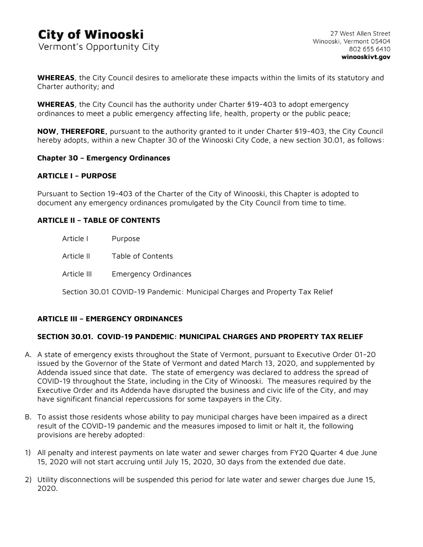**WHEREAS**, the City Council desires to ameliorate these impacts within the limits of its statutory and Charter authority; and

**WHEREAS**, the City Council has the authority under Charter §19-403 to adopt emergency ordinances to meet a public emergency affecting life, health, property or the public peace;

**NOW, THEREFORE,** pursuant to the authority granted to it under Charter §19-403, the City Council hereby adopts, within a new Chapter 30 of the Winooski City Code, a new section 30.01, as follows:

#### **Chapter 30 – Emergency Ordinances**

#### **ARTICLE I – PURPOSE**

Pursuant to Section 19-403 of the Charter of the City of Winooski, this Chapter is adopted to document any emergency ordinances promulgated by the City Council from time to time.

#### **ARTICLE II – TABLE OF CONTENTS**

| Article I   | Purpose                     |
|-------------|-----------------------------|
| Article II  | Table of Contents           |
| Article III | <b>Emergency Ordinances</b> |

Section 30.01 COVID-19 Pandemic: Municipal Charges and Property Tax Relief

#### **ARTICLE III – EMERGENCY ORDINANCES**

#### **SECTION 30.01. COVID-19 PANDEMIC: MUNICIPAL CHARGES AND PROPERTY TAX RELIEF**

- A. A state of emergency exists throughout the State of Vermont, pursuant to Executive Order 01-20 issued by the Governor of the State of Vermont and dated March 13, 2020, and supplemented by Addenda issued since that date. The state of emergency was declared to address the spread of COVID-19 throughout the State, including in the City of Winooski. The measures required by the Executive Order and its Addenda have disrupted the business and civic life of the City, and may have significant financial repercussions for some taxpayers in the City.
- B. To assist those residents whose ability to pay municipal charges have been impaired as a direct result of the COVID-19 pandemic and the measures imposed to limit or halt it, the following provisions are hereby adopted:
- 1) All penalty and interest payments on late water and sewer charges from FY20 Quarter 4 due June 15, 2020 will not start accruing until July 15, 2020, 30 days from the extended due date.
- 2) Utility disconnections will be suspended this period for late water and sewer charges due June 15, 2020.